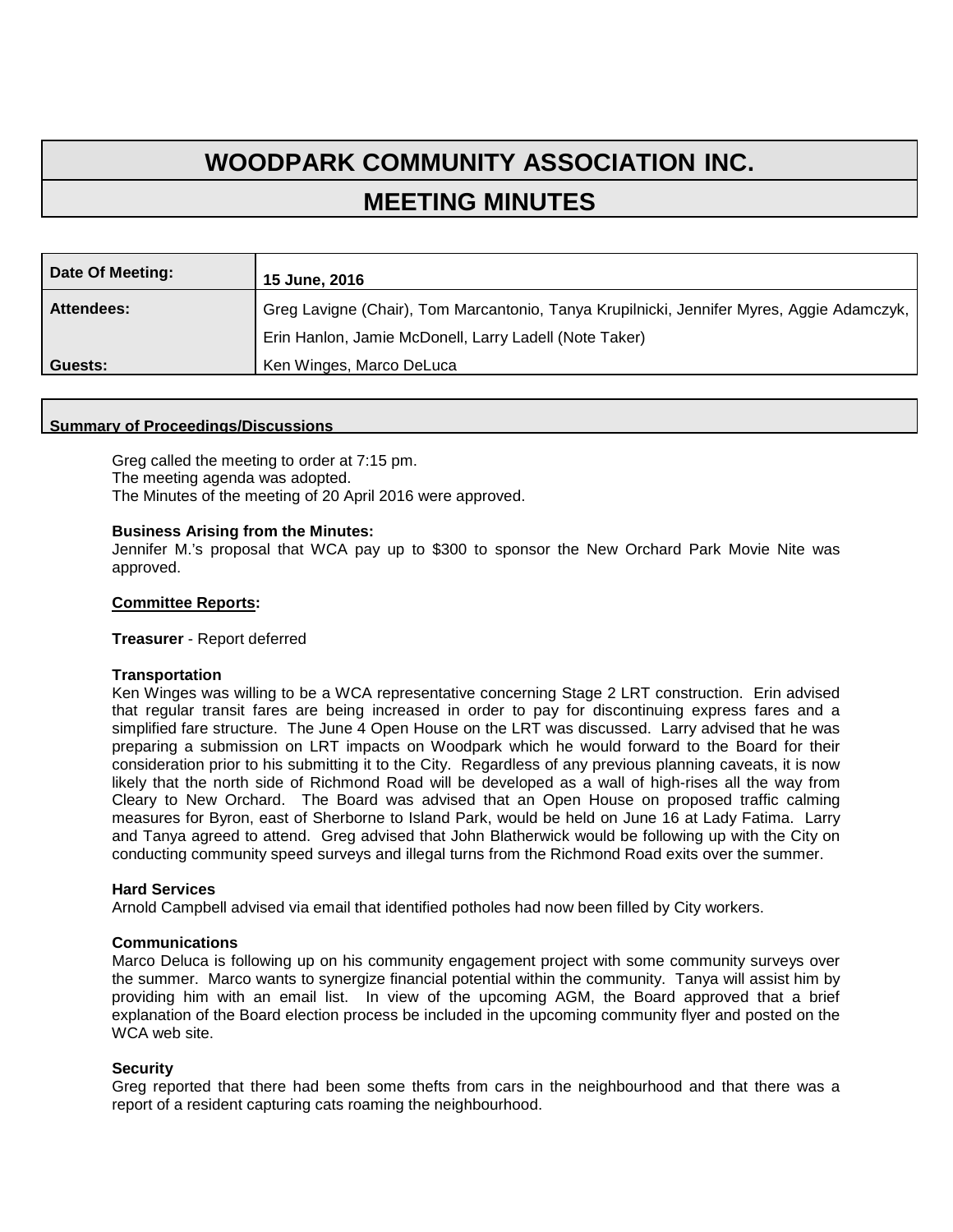# **WOODPARK COMMUNITY ASSOCIATION INC. MEETING MINUTES**

| Date Of Meeting:  | 15 June, 2016                                                                             |
|-------------------|-------------------------------------------------------------------------------------------|
| <b>Attendees:</b> | Greg Lavigne (Chair), Tom Marcantonio, Tanya Krupilnicki, Jennifer Myres, Aggie Adamczyk, |
|                   | Erin Hanlon, Jamie McDonell, Larry Ladell (Note Taker)                                    |
| Guests:           | Ken Winges, Marco DeLuca                                                                  |

#### **Summary of Proceedings/Discussions**

Greg called the meeting to order at 7:15 pm. The meeting agenda was adopted. The Minutes of the meeting of 20 April 2016 were approved.

## **Business Arising from the Minutes:**

Jennifer M.'s proposal that WCA pay up to \$300 to sponsor the New Orchard Park Movie Nite was approved.

## **Committee Reports:**

#### **Treasurer** - Report deferred

#### **Transportation**

Ken Winges was willing to be a WCA representative concerning Stage 2 LRT construction. Erin advised that regular transit fares are being increased in order to pay for discontinuing express fares and a simplified fare structure. The June 4 Open House on the LRT was discussed. Larry advised that he was preparing a submission on LRT impacts on Woodpark which he would forward to the Board for their consideration prior to his submitting it to the City. Regardless of any previous planning caveats, it is now likely that the north side of Richmond Road will be developed as a wall of high-rises all the way from Cleary to New Orchard. The Board was advised that an Open House on proposed traffic calming measures for Byron, east of Sherborne to Island Park, would be held on June 16 at Lady Fatima. Larry and Tanya agreed to attend. Greg advised that John Blatherwick would be following up with the City on conducting community speed surveys and illegal turns from the Richmond Road exits over the summer.

#### **Hard Services**

Arnold Campbell advised via email that identified potholes had now been filled by City workers.

#### **Communications**

Marco Deluca is following up on his community engagement project with some community surveys over the summer. Marco wants to synergize financial potential within the community. Tanya will assist him by providing him with an email list. In view of the upcoming AGM, the Board approved that a brief explanation of the Board election process be included in the upcoming community flyer and posted on the WCA web site.

# **Security**

Greg reported that there had been some thefts from cars in the neighbourhood and that there was a report of a resident capturing cats roaming the neighbourhood.